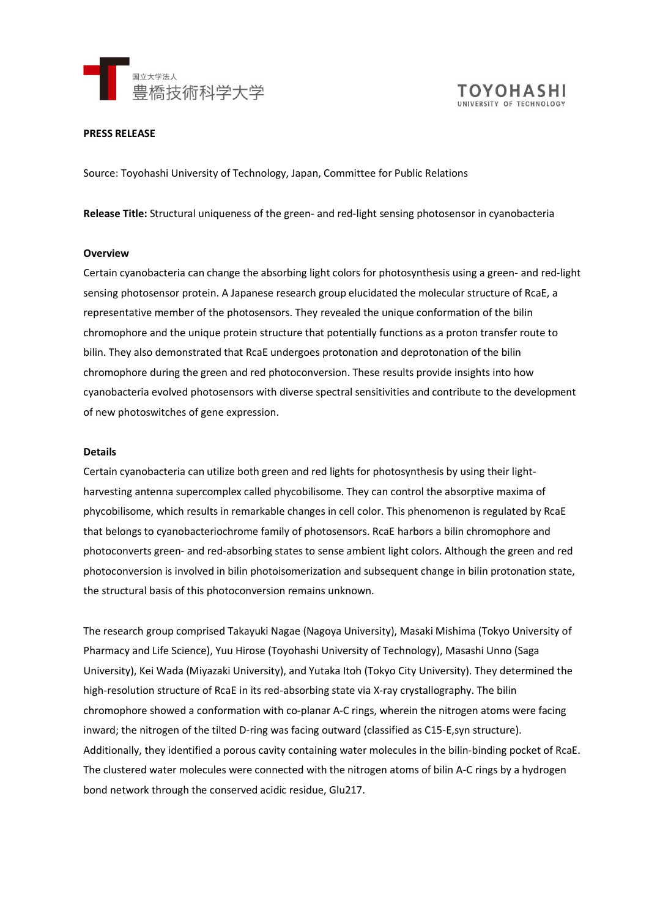



### **PRESS RELEASE**

Source: Toyohashi University of Technology, Japan, Committee for Public Relations

**Release Title:** Structural uniqueness of the green- and red-light sensing photosensor in cyanobacteria

#### **Overview**

Certain cyanobacteria can change the absorbing light colors for photosynthesis using a green- and red-light sensing photosensor protein. A Japanese research group elucidated the molecular structure of RcaE, a representative member of the photosensors. They revealed the unique conformation of the bilin chromophore and the unique protein structure that potentially functions as a proton transfer route to bilin. They also demonstrated that RcaE undergoes protonation and deprotonation of the bilin chromophore during the green and red photoconversion. These results provide insights into how cyanobacteria evolved photosensors with diverse spectral sensitivities and contribute to the development of new photoswitches of gene expression.

### **Details**

Certain cyanobacteria can utilize both green and red lights for photosynthesis by using their lightharvesting antenna supercomplex called phycobilisome. They can control the absorptive maxima of phycobilisome, which results in remarkable changes in cell color. This phenomenon is regulated by RcaE that belongs to cyanobacteriochrome family of photosensors. RcaE harbors a bilin chromophore and photoconverts green- and red-absorbing states to sense ambient light colors. Although the green and red photoconversion is involved in bilin photoisomerization and subsequent change in bilin protonation state, the structural basis of this photoconversion remains unknown.

The research group comprised Takayuki Nagae (Nagoya University), Masaki Mishima (Tokyo University of Pharmacy and Life Science), Yuu Hirose (Toyohashi University of Technology), Masashi Unno (Saga University), Kei Wada (Miyazaki University), and Yutaka Itoh (Tokyo City University). They determined the high-resolution structure of RcaE in its red-absorbing state via X-ray crystallography. The bilin chromophore showed a conformation with co-planar A-C rings, wherein the nitrogen atoms were facing inward; the nitrogen of the tilted D-ring was facing outward (classified as C15-E,syn structure). Additionally, they identified a porous cavity containing water molecules in the bilin-binding pocket of RcaE. The clustered water molecules were connected with the nitrogen atoms of bilin A-C rings by a hydrogen bond network through the conserved acidic residue, Glu217.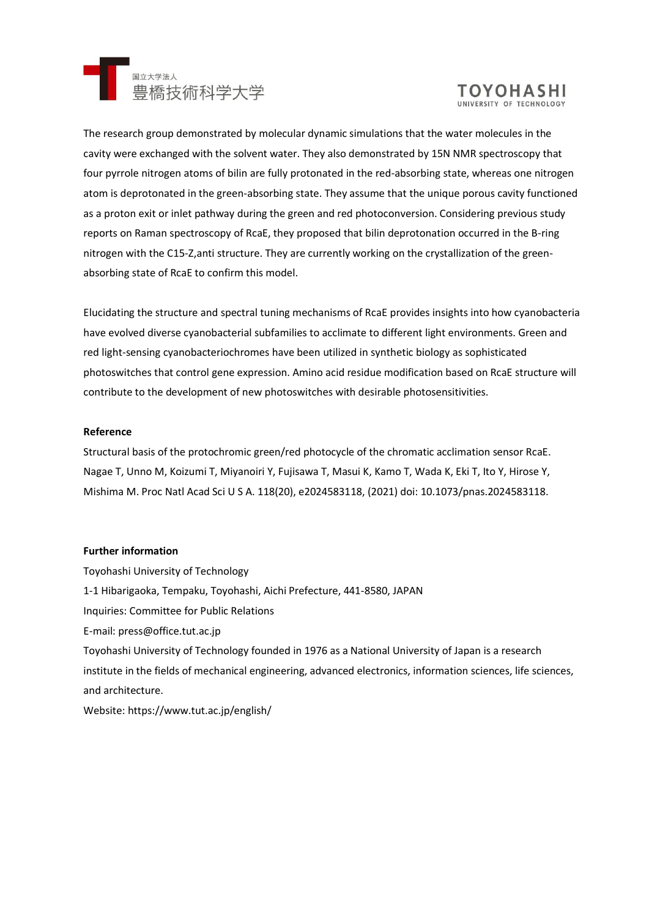



The research group demonstrated by molecular dynamic simulations that the water molecules in the cavity were exchanged with the solvent water. They also demonstrated by 15N NMR spectroscopy that four pyrrole nitrogen atoms of bilin are fully protonated in the red-absorbing state, whereas one nitrogen atom is deprotonated in the green-absorbing state. They assume that the unique porous cavity functioned as a proton exit or inlet pathway during the green and red photoconversion. Considering previous study reports on Raman spectroscopy of RcaE, they proposed that bilin deprotonation occurred in the B-ring nitrogen with the C15-Z,anti structure. They are currently working on the crystallization of the greenabsorbing state of RcaE to confirm this model.

Elucidating the structure and spectral tuning mechanisms of RcaE provides insights into how cyanobacteria have evolved diverse cyanobacterial subfamilies to acclimate to different light environments. Green and red light-sensing cyanobacteriochromes have been utilized in synthetic biology as sophisticated photoswitches that control gene expression. Amino acid residue modification based on RcaE structure will contribute to the development of new photoswitches with desirable photosensitivities.

# **Reference**

Structural basis of the protochromic green/red photocycle of the chromatic acclimation sensor RcaE. Nagae T, Unno M, Koizumi T, Miyanoiri Y, Fujisawa T, Masui K, Kamo T, Wada K, Eki T, Ito Y, Hirose Y, Mishima M. Proc Natl Acad Sci U S A. 118(20), e2024583118, (2021) doi: 10.1073/pnas.2024583118.

# **Further information**

Toyohashi University of Technology 1-1 Hibarigaoka, Tempaku, Toyohashi, Aichi Prefecture, 441-8580, JAPAN Inquiries: Committee for Public Relations E-mail: press@office.tut.ac.jp Toyohashi University of Technology founded in 1976 as a National University of Japan is a research institute in the fields of mechanical engineering, advanced electronics, information sciences, life sciences, and architecture.

Website: https://www.tut.ac.jp/english/